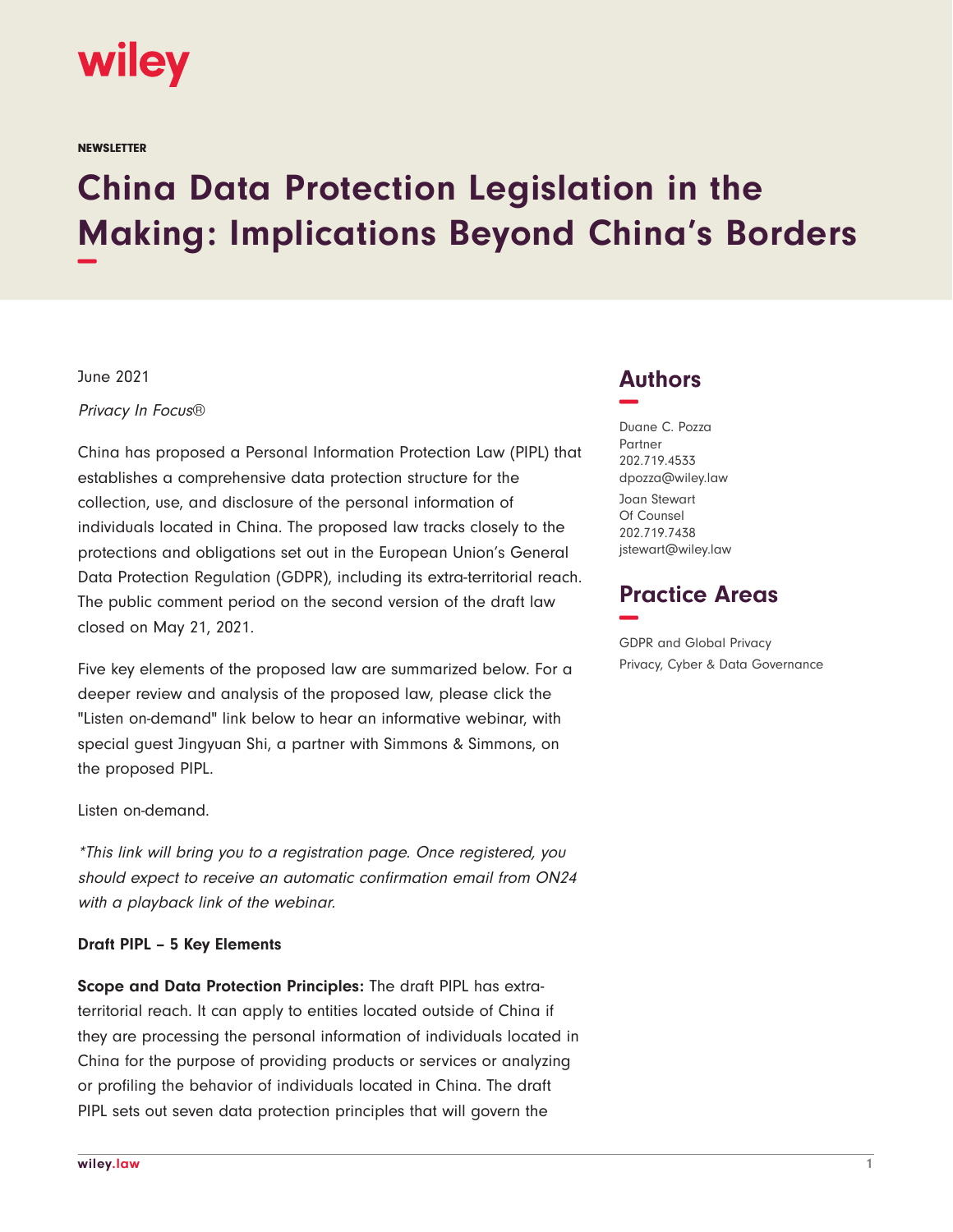

**NEWSLETTER** 

## **China Data Protection Legislation in the Making: Implications Beyond China's Borders −**

June 2021

Privacy In Focus®

China has proposed a Personal Information Protection Law (PIPL) that establishes a comprehensive data protection structure for the collection, use, and disclosure of the personal information of individuals located in China. The proposed law tracks closely to the protections and obligations set out in the European Union's General Data Protection Regulation (GDPR), including its extra-territorial reach. The public comment period on the second version of the draft law closed on May 21, 2021.

Five key elements of the proposed law are summarized below. For a deeper review and analysis of the proposed law, please click the "Listen on-demand" link below to hear an informative webinar, with special guest Jingyuan Shi, a partner with Simmons & Simmons, on the proposed PIPL.

Listen on-demand.

\*This link will bring you to a registration page. Once registered, you should expect to receive an automatic confirmation email from ON24 with a playback link of the webinar.

## **Draft PIPL – 5 Key Elements**

**Scope and Data Protection Principles:** The draft PIPL has extraterritorial reach. It can apply to entities located outside of China if they are processing the personal information of individuals located in China for the purpose of providing products or services or analyzing or profiling the behavior of individuals located in China. The draft PIPL sets out seven data protection principles that will govern the

## **Authors −**

Duane C. Pozza Partner 202.719.4533 dpozza@wiley.law Joan Stewart Of Counsel 202.719.7438 jstewart@wiley.law

## **Practice Areas −**

GDPR and Global Privacy Privacy, Cyber & Data Governance